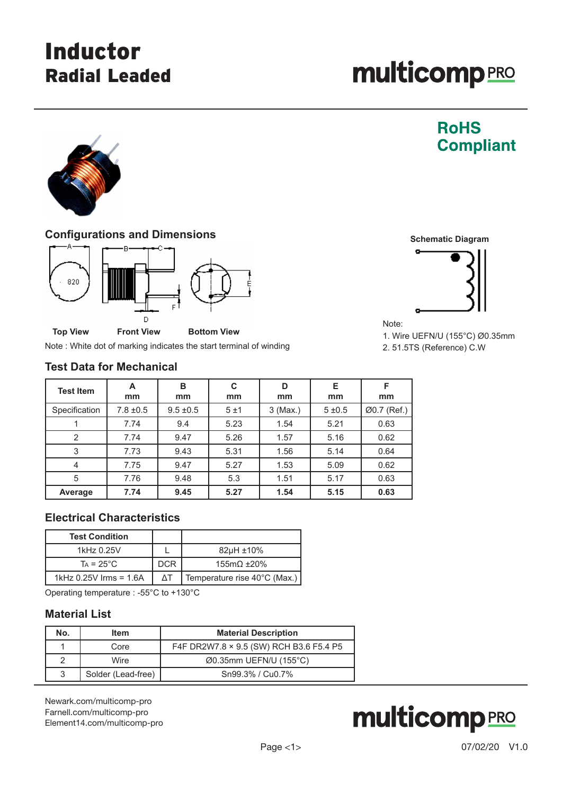# Inductor Radial Leaded

**RoHS** 

**Compliant** 



### **Configurations and Dimensions**



Note : White dot of marking indicates the start terminal of winding

#### **Test Data for Mechanical**

| <b>Test Item</b> | A<br>mm       | в<br>mm       | C<br>mm | D<br>mm    | Е<br>mm   | F<br>mm     |
|------------------|---------------|---------------|---------|------------|-----------|-------------|
| Specification    | $7.8 \pm 0.5$ | $9.5 \pm 0.5$ | 5±1     | $3$ (Max.) | $5 + 0.5$ | Ø0.7 (Ref.) |
|                  | 7.74          | 9.4           | 5.23    | 1.54       | 5.21      | 0.63        |
| $\overline{2}$   | 7.74          | 9.47          | 5.26    | 1.57       | 5.16      | 0.62        |
| 3                | 7.73          | 9.43          | 5.31    | 1.56       | 5.14      | 0.64        |
| $\overline{4}$   | 7.75          | 9.47          | 5.27    | 1.53       | 5.09      | 0.62        |
| 5                | 7.76          | 9.48          | 5.3     | 1.51       | 5.17      | 0.63        |
| Average          | 7.74          | 9.45          | 5.27    | 1.54       | 5.15      | 0.63        |

## **Electrical Characteristics**

| <b>Test Condition</b>  |            |                              |
|------------------------|------------|------------------------------|
| 1kHz 0.25V             |            | $82\mu H \pm 10\%$           |
| $Ta = 25^{\circ}C$     | <b>DCR</b> | $155m\Omega \pm 20\%$        |
| 1kHz 0.25V Irms = 1.6A | ΛT         | Temperature rise 40°C (Max.) |

Operating temperature : -55°C to +130°C

### **Material List**

| No. | <b>Item</b>        | <b>Material Description</b>             |
|-----|--------------------|-----------------------------------------|
|     | Core               | F4F DR2W7.8 × 9.5 (SW) RCH B3.6 F5.4 P5 |
| 2   | Wire               | $\emptyset$ 0.35mm UEFN/U (155°C)       |
| 3   | Solder (Lead-free) | Sn99.3% / Cu0.7%                        |

[Newark.com/multicomp-](https://www.newark.com/multicomp-pro)pro [Farnell.com/multicomp](https://www.farnell.com/multicomp-pro)-pro [Element14.com/multicomp-pro](https://element14.com/multicomp-pro)







Note:

1. Wire UEFN/U (155°C) Ø0.35mm 2. 51.5TS (Reference) C.W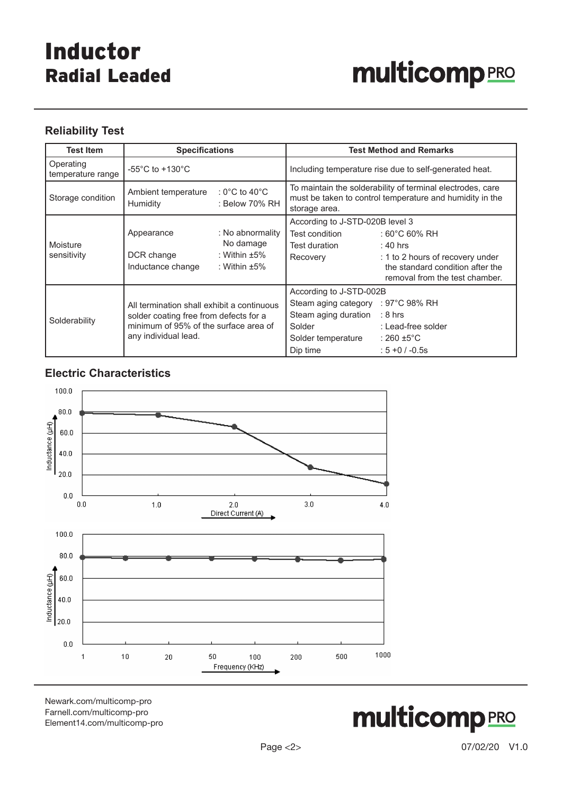# Inductor Radial Leaded

# **multicomp**PRO

## **Reliability Test**

| <b>Test Item</b>               | <b>Specifications</b>                                                                                                                                 |                                                                           | <b>Test Method and Remarks</b>                                                                                                                       |                                                                                                                                     |  |
|--------------------------------|-------------------------------------------------------------------------------------------------------------------------------------------------------|---------------------------------------------------------------------------|------------------------------------------------------------------------------------------------------------------------------------------------------|-------------------------------------------------------------------------------------------------------------------------------------|--|
| Operating<br>temperature range | -55 $^{\circ}$ C to +130 $^{\circ}$ C                                                                                                                 |                                                                           |                                                                                                                                                      | Including temperature rise due to self-generated heat.                                                                              |  |
| Storage condition              | : 0°C to 40°C<br>Ambient temperature<br><b>Humidity</b><br>: Below 70% RH                                                                             |                                                                           | To maintain the solderability of terminal electrodes, care<br>must be taken to control temperature and humidity in the<br>storage area.              |                                                                                                                                     |  |
| Moisture<br>sensitivity        | Appearance<br>DCR change<br>Inductance change                                                                                                         | : No abnormality<br>No damage<br>: Within $\pm 5\%$<br>: Within $\pm 5\%$ | According to J-STD-020B level 3<br>Test condition<br>Test duration<br>Recovery                                                                       | : 60°C 60% RH<br>: 40 hrs<br>: 1 to 2 hours of recovery under<br>the standard condition after the<br>removal from the test chamber. |  |
| Solderability                  | All termination shall exhibit a continuous<br>solder coating free from defects for a<br>minimum of 95% of the surface area of<br>any individual lead. |                                                                           | According to J-STD-002B<br>Steam aging category : 97°C 98% RH<br>Steam aging duration $\therefore$ 8 hrs<br>Solder<br>Solder temperature<br>Dip time | : Lead-free solder<br>∴ 260 ±5°C<br>$: 5 + 0 / -0.5s$                                                                               |  |

## **Electric Characteristics**



[Newark.com/multicomp-](https://www.newark.com/multicomp-pro)pro [Farnell.com/multicomp](https://www.farnell.com/multicomp-pro)-pro [Element14.com/multicomp-pro](https://element14.com/multicomp-pro)